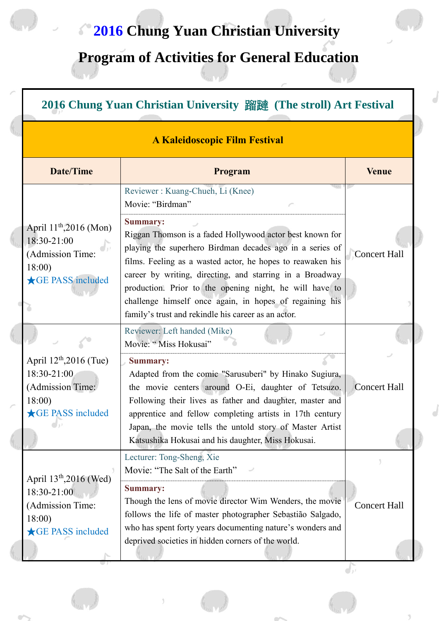# **2016 Chung Yuan Christian University**

# **Program of Activities for General Education**

| <b>A Kaleidoscopic Film Festival</b>                                                                        |                                                                                                                                                                                                                                                                                                                                                                                                                                                |                     |  |
|-------------------------------------------------------------------------------------------------------------|------------------------------------------------------------------------------------------------------------------------------------------------------------------------------------------------------------------------------------------------------------------------------------------------------------------------------------------------------------------------------------------------------------------------------------------------|---------------------|--|
| <b>Date/Time</b>                                                                                            | Program                                                                                                                                                                                                                                                                                                                                                                                                                                        | <b>Venue</b>        |  |
|                                                                                                             | Reviewer: Kuang-Chueh, Li (Knee)<br>Movie: "Birdman"                                                                                                                                                                                                                                                                                                                                                                                           |                     |  |
| April $11^{th}$ , 2016 (Mon)<br>$18:30-21:00$<br>(Admission Time:<br>18:00<br>GE PASS included              | <b>Summary:</b><br>Riggan Thomson is a faded Hollywood actor best known for<br>playing the superhero Birdman decades ago in a series of<br>films. Feeling as a wasted actor, he hopes to reawaken his<br>career by writing, directing, and starring in a Broadway<br>production. Prior to the opening night, he will have to<br>challenge himself once again, in hopes of regaining his<br>family's trust and rekindle his career as an actor. | <b>Concert Hall</b> |  |
|                                                                                                             | Reviewer: Left handed (Mike)<br>Movie: "Miss Hokusai"                                                                                                                                                                                                                                                                                                                                                                                          |                     |  |
| April $12^{th}$ , 2016 (Tue)<br>18:30-21:00<br>(Admission Time:<br>18:00<br><b>★GE PASS included</b>        | <b>Summary:</b><br>Adapted from the comic "Sarusuberi" by Hinako Sugiura,<br>the movie centers around O-Ei, daughter of Tetsuzo.<br>Following their lives as father and daughter, master and<br>apprentice and fellow completing artists in 17th century<br>Japan, the movie tells the untold story of Master Artist<br>Katsushika Hokusai and his daughter, Miss Hokusai.                                                                     | <b>Concert Hall</b> |  |
|                                                                                                             | Lecturer: Tong-Sheng, Xie<br>Movie: "The Salt of the Earth"                                                                                                                                                                                                                                                                                                                                                                                    |                     |  |
| April 13 <sup>th</sup> , 2016 (Wed)<br>18:30-21:00<br>(Admission Time:<br>18:00<br><b>★GE PASS included</b> | <b>Summary:</b><br>Though the lens of movie director Wim Wenders, the movie<br>follows the life of master photographer Sebastião Salgado,<br>who has spent forty years documenting nature's wonders and<br>deprived societies in hidden corners of the world.                                                                                                                                                                                  | <b>Concert Hall</b> |  |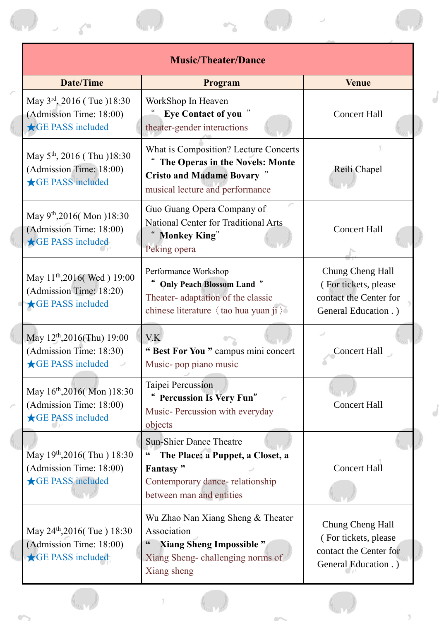| <b>Music/Theater/Dance</b>                                                                    |                                                                                                                                                                           |                                                                                             |  |  |  |
|-----------------------------------------------------------------------------------------------|---------------------------------------------------------------------------------------------------------------------------------------------------------------------------|---------------------------------------------------------------------------------------------|--|--|--|
| <b>Date/Time</b>                                                                              | Program                                                                                                                                                                   | <b>Venue</b>                                                                                |  |  |  |
| May 3rd, 2016 (Tue )18:30<br>(Admission Time: 18:00)<br><b>★GE PASS included</b>              | WorkShop In Heaven<br><b>Eye Contact of you</b> "<br>theater-gender interactions                                                                                          | <b>Concert Hall</b>                                                                         |  |  |  |
| May 5 <sup>th</sup> , 2016 (Thu )18:30<br>(Admission Time: 18:00)<br>GE PASS included         | What is Composition? Lecture Concerts<br>The Operas in the Novels: Monte<br><b>Cristo and Madame Bovary "</b><br>musical lecture and performance                          | Reili Chapel                                                                                |  |  |  |
| May 9 <sup>th</sup> ,2016(Mon)18:30<br>(Admission Time: 18:00)<br>GE PASS included            | Guo Guang Opera Company of<br><b>National Center for Traditional Arts</b><br><b>Monkey King"</b><br>Peking opera                                                          | <b>Concert Hall</b>                                                                         |  |  |  |
| May 11 <sup>th</sup> ,2016(Wed) 19:00<br>(Admission Time: 18:20)<br>GE PASS included          | Performance Workshop<br><b>Only Peach Blossom Land "</b><br>Theater-adaptation of the classic<br>chinese literature $\langle$ tao hua yuan ji $\rangle$                   | Chung Cheng Hall<br>(For tickets, please<br>contact the Center for<br>General Education .)  |  |  |  |
| May $12^{th}$ , $2016$ (Thu) 19:00<br>(Admission Time: 18:30)<br>GE PASS included             | V.K<br>"Best For You" campus mini concert<br>Music-pop piano music                                                                                                        | <b>Concert Hall</b>                                                                         |  |  |  |
| May 16 <sup>th</sup> ,2016(Mon )18:30<br>(Admission Time: 18:00)<br>GE PASS included          | Taipei Percussion<br><b>Percussion Is Very Fun"</b><br>Music-Percussion with everyday<br>objects                                                                          | <b>Concert Hall</b>                                                                         |  |  |  |
| May 19 <sup>th</sup> , 2016(Thu) 18:30<br>(Admission Time: 18:00)<br><b>★GE PASS included</b> | <b>Sun-Shier Dance Theatre</b><br>The Place: a Puppet, a Closet, a<br>$\boldsymbol{\epsilon}$<br>Fantasy"<br>Contemporary dance- relationship<br>between man and entities | <b>Concert Hall</b>                                                                         |  |  |  |
| May 24 <sup>th</sup> , 2016(Tue) 18:30<br>(Admission Time: 18:00)<br><b>★GE PASS included</b> | Wu Zhao Nan Xiang Sheng & Theater<br>Association<br><b>Xiang Sheng Impossible "</b><br>Xiang Sheng-challenging norms of<br>Xiang sheng                                    | Chung Cheng Hall<br>(For tickets, please<br>contact the Center for<br>General Education . ) |  |  |  |
|                                                                                               |                                                                                                                                                                           |                                                                                             |  |  |  |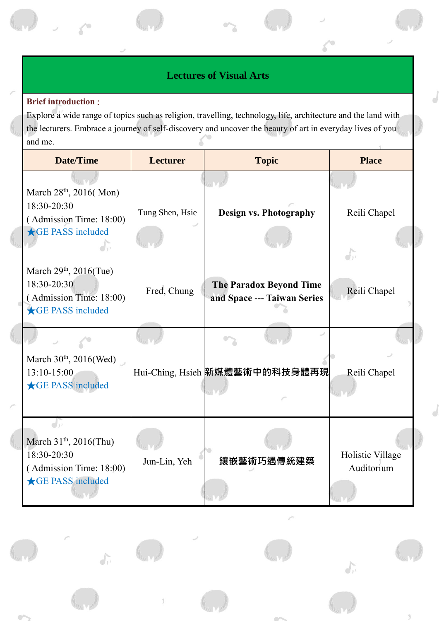## **Lectures of Visual Arts**

#### **Brief introduction** :

 $\int_{J'}$ 

Explore a wide range of topics such as religion, travelling, technology, life, architecture and the land with the lecturers. Embrace a journey of self-discovery and uncover the beauty of art in everyday lives of you and me.

| <b>Date/Time</b>                                                                                                        | <b>Lecturer</b> | <b>Topic</b>                                                  | <b>Place</b>                   |
|-------------------------------------------------------------------------------------------------------------------------|-----------------|---------------------------------------------------------------|--------------------------------|
| March 28 <sup>th</sup> , 2016(Mon)                                                                                      |                 |                                                               |                                |
| 18:30-20:30<br>(Admission Time: 18:00)                                                                                  | Tung Shen, Hsie | <b>Design vs. Photography</b>                                 | Reili Chapel                   |
| <b>★GE PASS included</b>                                                                                                |                 |                                                               |                                |
| March $29th$ , $2016$ (Tue)<br>18:30-20:30<br>(Admission Time: 18:00)<br><b>GE PASS included</b>                        | Fred, Chung     | <b>The Paradox Beyond Time</b><br>and Space --- Taiwan Series | Reili Chapel                   |
|                                                                                                                         |                 |                                                               |                                |
| March $30th$ , $2016$ (Wed)<br>$13:10-15:00$<br><b>★GE PASS included</b>                                                |                 | Hui-Ching, Hsieh 新媒體藝術中的科技身體再現                                | Reili Chapel                   |
| $d_{\rm D}$<br>March 31 <sup>th</sup> , 2016(Thu)<br>18:30-20:30<br>(Admission Time: 18:00)<br><b>★GE PASS included</b> | Jun-Lin, Yeh    | 鑲嵌藝術巧遇傳統建築                                                    | Holistic Village<br>Auditorium |

 $\int_{I}$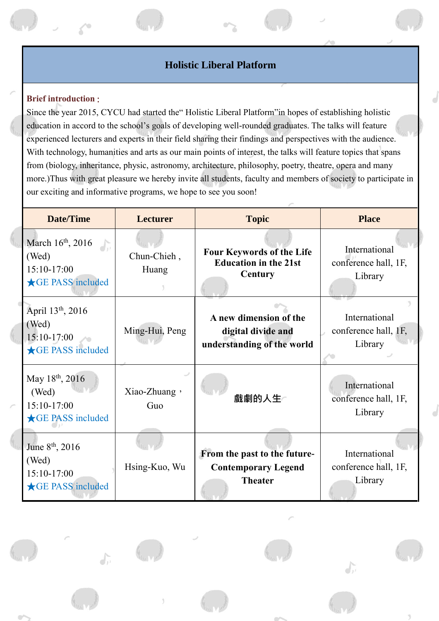### **Holistic Liberal Platform**

#### **Brief introduction** :

 $\int_{\mathcal{V}}$ 

Since the year 2015, CYCU had started the" Holistic Liberal Platform"in hopes of establishing holistic education in accord to the school's goals of developing well-rounded graduates. The talks will feature experienced lecturers and experts in their field sharing their findings and perspectives with the audience. With technology, humanities and arts as our main points of interest, the talks will feature topics that spans from (biology, inheritance, physic, astronomy, architecture, philosophy, poetry, theatre, opera and many more.)Thus with great pleasure we hereby invite all students, faculty and members of society to participate in our exciting and informative programs, we hope to see you soon!

| <b>Date/Time</b>                                                                | <b>Lecturer</b>      | <b>Topic</b>                                                                 | <b>Place</b>                                     |
|---------------------------------------------------------------------------------|----------------------|------------------------------------------------------------------------------|--------------------------------------------------|
| March 16 <sup>th</sup> , 2016<br>(Wed)<br>15:10-17:00<br>GE PASS included       | Chun-Chieh,<br>Huang | <b>Four Keywords of the Life</b><br><b>Education in the 21st</b><br>Century  | International<br>conference hall, 1F,<br>Library |
| April 13 <sup>th</sup> , 2016<br>(Wed)<br>15:10-17:00<br>GE PASS included       | Ming-Hui, Peng       | A new dimension of the<br>digital divide and<br>understanding of the world   | International<br>conference hall, 1F,<br>Library |
| May 18 <sup>th</sup> , 2016<br>(Wed)<br>15:10-17:00<br><b>★GE PASS included</b> | Xiao-Zhuang,<br>Guo  | 戲劇的人生                                                                        | International<br>conference hall, 1F,<br>Library |
| June 8 <sup>th</sup> , 2016<br>(Wed)<br>15:10-17:00<br>GE PASS included         | Hsing-Kuo, Wu        | From the past to the future-<br><b>Contemporary Legend</b><br><b>Theater</b> | International<br>conference hall, 1F,<br>Library |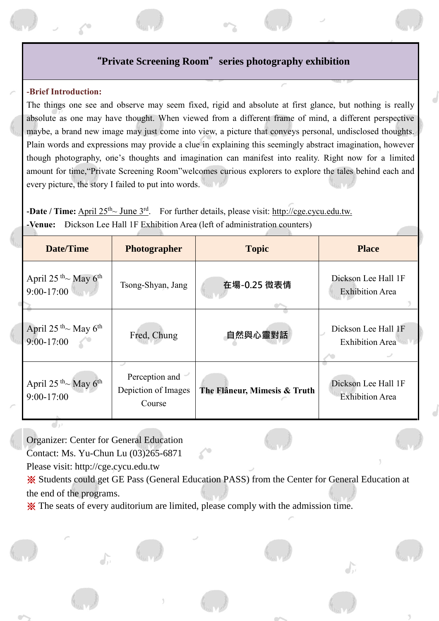### "**Private Screening Room**"**series photography exhibition**

#### **-Brief Introduction:**

The things one see and observe may seem fixed, rigid and absolute at first glance, but nothing is really absolute as one may have thought. When viewed from a different frame of mind, a different perspective maybe, a brand new image may just come into view, a picture that conveys personal, undisclosed thoughts. Plain words and expressions may provide a clue in explaining this seemingly abstract imagination, however though photography, one's thoughts and imagination can manifest into reality. Right now for a limited amount for time,"Private Screening Room"welcomes curious explorers to explore the tales behind each and every picture, the story I failed to put into words.

**-Date / Time:** April 25<sup>th</sup>~ June 3<sup>rd</sup>. For further details, please visit: http://cge.cycu.edu.tw. **-Venue:** Dickson Lee Hall 1F Exhibition Area (left of administration counters)

| <b>Date/Time</b>                                                  | <b>Photographer</b>                             | <b>Topic</b>                 | <b>Place</b>                                  |
|-------------------------------------------------------------------|-------------------------------------------------|------------------------------|-----------------------------------------------|
| April 25 <sup>th</sup> $\sim$ May 6 <sup>th</sup><br>$9:00-17:00$ | Tsong-Shyan, Jang                               | 在場-0.25 微表情                  | Dickson Lee Hall 1F<br><b>Exhibition Area</b> |
| April $25^{th}$ May $6^{th}$<br>$9:00-17:00$                      | Fred, Chung                                     | 自然與心靈對話                      | Dickson Lee Hall 1F<br><b>Exhibition Area</b> |
| April $25^{th}$ ~ May 6 <sup>th</sup><br>$9:00-17:00$             | Perception and<br>Depiction of Images<br>Course | The Flâneur, Mimesis & Truth | Dickson Lee Hall 1F<br><b>Exhibition Area</b> |

Organizer: Center for General Education

Contact: Ms. Yu-Chun Lu (03)265-6871

Please visit: http://cge.cycu.edu.tw

※ Students could get GE Pass (General Education PASS) from the Center for General Education at the end of the programs.

※ The seats of every auditorium are limited, please comply with the admission time.